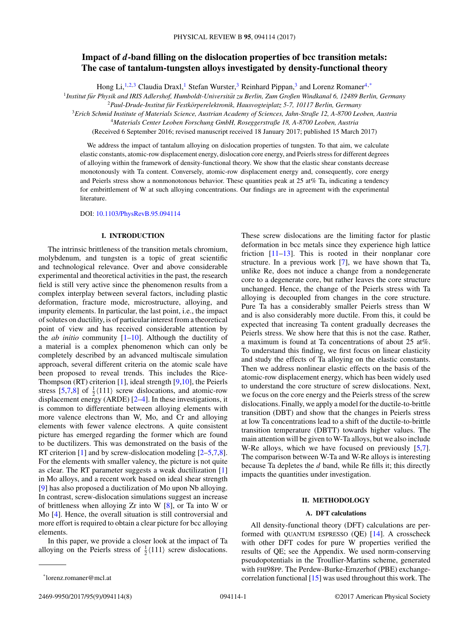# **Impact of** *d***-band filling on the dislocation properties of bcc transition metals: The case of tantalum-tungsten alloys investigated by density-functional theory**

Hong Li,<sup>1,2,3</sup> Claudia Draxl,<sup>1</sup> Stefan Wurster,<sup>3</sup> Reinhard Pippan,<sup>3</sup> and Lorenz Romaner<sup>4,\*</sup>

<sup>1</sup>Institut für Physik and IRIS Adlershof, Humboldt-Universität zu Berlin, Zum Großen Windkanal 6, 12489 Berlin, Germany

<sup>2</sup>*Paul-Drude-Institut fur Festk ¨ orperelektronik, Hausvogteiplatz 5-7, 10117 Berlin, Germany ¨*

<sup>3</sup>*Erich Schmid Institute of Materials Science, Austrian Academy of Sciences, Jahn-Straße 12, A-8700 Leoben, Austria*

<sup>4</sup>*Materials Center Leoben Forschung GmbH, Roseggerstraße 18, A-8700 Leoben, Austria*

(Received 6 September 2016; revised manuscript received 18 January 2017; published 15 March 2017)

We address the impact of tantalum alloying on dislocation properties of tungsten. To that aim, we calculate elastic constants, atomic-row displacement energy, dislocation core energy, and Peierls stress for different degrees of alloying within the framework of density-functional theory. We show that the elastic shear constants decrease monotonously with Ta content. Conversely, atomic-row displacement energy and, consequently, core energy and Peierls stress show a nonmonotonous behavior. These quantities peak at 25 at% Ta, indicating a tendency for embrittlement of W at such alloying concentrations. Our findings are in agreement with the experimental literature.

DOI: [10.1103/PhysRevB.95.094114](https://doi.org/10.1103/PhysRevB.95.094114)

## **I. INTRODUCTION**

The intrinsic brittleness of the transition metals chromium, molybdenum, and tungsten is a topic of great scientific and technological relevance. Over and above considerable experimental and theoretical activities in the past, the research field is still very active since the phenomenon results from a complex interplay between several factors, including plastic deformation, fracture mode, microstructure, alloying, and impurity elements. In particular, the last point, i.e., the impact of solutes on ductility, is of particular interest from a theoretical point of view and has received considerable attention by the *ab initio* community [\[1–10\]](#page-7-0). Although the ductility of a material is a complex phenomenon which can only be completely described by an advanced multiscale simulation approach, several different criteria on the atomic scale have been proposed to reveal trends. This includes the Rice-Thompson (RT) criterion [\[1\]](#page-7-0), ideal strength [\[9,10\]](#page-7-0), the Peierls stress [\[5,7,8\]](#page-7-0) of  $\frac{1}{2}$ (111) screw dislocations, and atomic-row displacement energy (ARDE) [\[2–4\]](#page-7-0). In these investigations, it is common to differentiate between alloying elements with more valence electrons than W, Mo, and Cr and alloying elements with fewer valence electrons. A quite consistent picture has emerged regarding the former which are found to be ductilizers. This was demonstrated on the basis of the RT criterion  $[1]$  and by screw-dislocation modeling  $[2-5,7,8]$ . For the elements with smaller valency, the picture is not quite as clear. The RT parameter suggests a weak ductilization [\[1\]](#page-7-0) in Mo alloys, and a recent work based on ideal shear strength [\[9\]](#page-7-0) has also proposed a ductilization of Mo upon Nb alloying. In contrast, screw-dislocation simulations suggest an increase of brittleness when alloying Zr into W [\[8\]](#page-7-0), or Ta into W or Mo [\[4\]](#page-7-0). Hence, the overall situation is still controversial and more effort is required to obtain a clear picture for bcc alloying elements.

In this paper, we provide a closer look at the impact of Ta alloying on the Peierls stress of  $\frac{1}{2}$  $\langle 111 \rangle$  screw dislocations.

deformation in bcc metals since they experience high lattice friction [\[11–13\]](#page-7-0). This is rooted in their nonplanar core structure. In a previous work [\[7\]](#page-7-0), we have shown that Ta, unlike Re, does not induce a change from a nondegenerate core to a degenerate core, but rather leaves the core structure unchanged. Hence, the change of the Peierls stress with Ta alloying is decoupled from changes in the core structure. Pure Ta has a considerably smaller Peierls stress than W and is also considerably more ductile. From this, it could be expected that increasing Ta content gradually decreases the Peierls stress. We show here that this is not the case. Rather, a maximum is found at Ta concentrations of about 25 at%. To understand this finding, we first focus on linear elasticity and study the effects of Ta alloying on the elastic constants. Then we address nonlinear elastic effects on the basis of the atomic-row displacement energy, which has been widely used to understand the core structure of screw dislocations. Next, we focus on the core energy and the Peierls stress of the screw dislocations. Finally, we apply a model for the ductile-to-brittle transition (DBT) and show that the changes in Peierls stress at low Ta concentrations lead to a shift of the ductile-to-brittle transition temperature (DBTT) towards higher values. The main attention will be given to W-Ta alloys, but we also include W-Re alloys, which we have focused on previously [\[5,7\]](#page-7-0). The comparison between W-Ta and W-Re alloys is interesting because Ta depletes the *d* band, while Re fills it; this directly impacts the quantities under investigation.

These screw dislocations are the limiting factor for plastic

## **II. METHODOLOGY**

# **A. DFT calculations**

All density-functional theory (DFT) calculations are performed with QUANTUM ESPRESSO (QE) [\[14\]](#page-7-0). A crosscheck with other DFT codes for pure W properties verified the results of QE; see the Appendix. We used norm-conserving pseudopotentials in the Troullier-Martins scheme, generated with FHI98PP. The Perdew-Burke-Ernzerhof (PBE) exchangecorrelation functional [\[15\]](#page-7-0) was used throughout this work. The

<sup>\*</sup>lorenz.romaner@mcl.at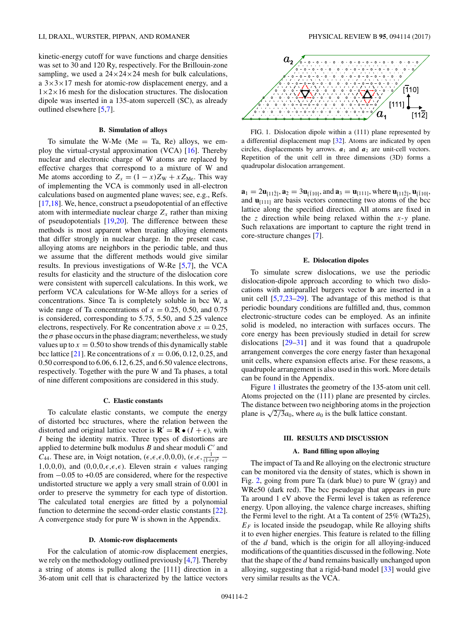<span id="page-1-0"></span>kinetic-energy cutoff for wave functions and charge densities was set to 30 and 120 Ry, respectively. For the Brillouin-zone sampling, we used a  $24 \times 24 \times 24$  mesh for bulk calculations, a  $3\times3\times17$  mesh for atomic-row displacement energy, and a  $1\times2\times16$  mesh for the dislocation structures. The dislocation dipole was inserted in a 135-atom supercell (SC), as already outlined elsewhere [\[5,7\]](#page-7-0).

#### **B. Simulation of alloys**

To simulate the W-Me ( $Me = Ta$ , Re) alloys, we employ the virtual-crystal approximation (VCA) [\[16\]](#page-7-0). Thereby nuclear and electronic charge of W atoms are replaced by effective charges that correspond to a mixture of W and Me atoms according to  $Z_x = (1 - x)Z_W + xZ_{Me}$ . This way of implementing the VCA is commonly used in all-electron calculations based on augmented plane waves; see, e.g., Refs. [\[17,18\]](#page-7-0). We, hence, construct a pseudopotential of an effective atom with intermediate nuclear charge  $Z_x$  rather than mixing of pseudopotentials [\[19,20\]](#page-7-0). The difference between these methods is most apparent when treating alloying elements that differ strongly in nuclear charge. In the present case, alloying atoms are neighbors in the periodic table, and thus we assume that the different methods would give similar results. In previous investigations of W-Re [\[5,7\]](#page-7-0), the VCA results for elasticity and the structure of the dislocation core were consistent with supercell calculations. In this work, we perform VCA calculations for W-Me alloys for a series of concentrations. Since Ta is completely soluble in bcc W, a wide range of Ta concentrations of  $x = 0.25, 0.50,$  and  $0.75$ is considered, corresponding to 5.75, 5.50, and 5.25 valence electrons, respectively. For Re concentration above  $x = 0.25$ , the  $\sigma$  phase occurs in the phase diagram; nevertheless, we study values up to  $x = 0.50$  to show trends of this dynamically stable bcc lattice [\[21\]](#page-7-0). Re concentrations of  $x = 0.06, 0.12, 0.25,$  and 0.50 correspond to 6.06, 6.12, 6.25, and 6.50 valence electrons, respectively. Together with the pure W and Ta phases, a total of nine different compositions are considered in this study.

#### **C. Elastic constants**

To calculate elastic constants, we compute the energy of distorted bcc structures, where the relation between the distorted and original lattice vector is  $\mathbf{R}' = \mathbf{R} \cdot (I + \epsilon)$ , with *I* being the identity matrix. Three types of distortions are applied to determine bulk modulus  $B$  and shear moduli  $C'$  and *C*<sub>44</sub>. These are, in Voigt notation, ( $\epsilon, \epsilon, \epsilon, 0, 0, 0$ ), ( $\epsilon, \epsilon, \frac{1}{(1+\epsilon)^2}$  − 1,0,0,0), and  $(0,0,0,\epsilon,\epsilon,\epsilon)$ . Eleven strain  $\epsilon$  values ranging from −0*.*05 to +0.05 are considered, where for the respective undistorted structure we apply a very small strain of 0.001 in order to preserve the symmetry for each type of distortion. The calculated total energies are fitted by a polynomial function to determine the second-order elastic constants [\[22\]](#page-7-0). A convergence study for pure W is shown in the Appendix.

## **D. Atomic-row displacements**

For the calculation of atomic-row displacement energies, we rely on the methodology outlined previously [\[4,7\]](#page-7-0). Thereby a string of atoms is pulled along the [111] direction in a 36-atom unit cell that is characterized by the lattice vectors



FIG. 1. Dislocation dipole within a (111) plane represented by a differential displacement map [\[32\]](#page-7-0). Atoms are indicated by open circles, displacements by arrows.  $a_1$  and  $a_2$  are unit-cell vectors. Repetition of the unit cell in three dimensions (3D) forms a quadrupolar dislocation arrangement.

 $\mathbf{a}_1 = 2\mathbf{u}_{11\bar{2}}$ ,  $\mathbf{a}_2 = 3\mathbf{u}_{110}$ , and  $\mathbf{a}_3 = \mathbf{u}_{1111}$ , where  $\mathbf{u}_{112}$ ,  $\mathbf{u}_{110}$ , and  $\mathbf{u}_{[111]}$  are basis vectors connecting two atoms of the bcc lattice along the specified direction. All atoms are fixed in the *z* direction while being relaxed within the *x*-*y* plane. Such relaxations are important to capture the right trend in core-structure changes [\[7\]](#page-7-0).

### **E. Dislocation dipoles**

To simulate screw dislocations, we use the periodic dislocation-dipole approach according to which two dislocations with antiparallel burgers vector **b** are inserted in a unit cell [\[5,7,23–29\]](#page-7-0). The advantage of this method is that periodic boundary conditions are fulfilled and, thus, common electronic-structure codes can be employed. As an infinite solid is modeled, no interaction with surfaces occurs. The core energy has been previously studied in detail for screw dislocations [\[29–31\]](#page-7-0) and it was found that a quadrupole arrangement converges the core energy faster than hexagonal unit cells, where expansion effects arise. For these reasons, a quadrupole arrangement is also used in this work. More details can be found in the Appendix.

Figure 1 illustrates the geometry of the 135-atom unit cell. Atoms projected on the (111) plane are presented by circles. The distance between two neighboring atoms in the projection plane is  $\sqrt{2/3}a_0$ , where  $a_0$  is the bulk lattice constant.

## **III. RESULTS AND DISCUSSION**

#### **A. Band filling upon alloying**

The impact of Ta and Re alloying on the electronic structure can be monitored via the density of states, which is shown in Fig. [2,](#page-2-0) going from pure Ta (dark blue) to pure W (gray) and WRe50 (dark red). The bcc pseudogap that appears in pure Ta around 1 eV above the Fermi level is taken as reference energy. Upon alloying, the valence charge increases, shifting the Fermi level to the right. At a Ta content of 25% (WTa25),  $E_F$  is located inside the pseudogap, while Re alloying shifts it to even higher energies. This feature is related to the filling of the *d* band, which is the origin for all alloying-induced modifications of the quantities discussed in the following. Note that the shape of the *d* band remains basically unchanged upon alloying, suggesting that a rigid-band model [\[33\]](#page-7-0) would give very similar results as the VCA.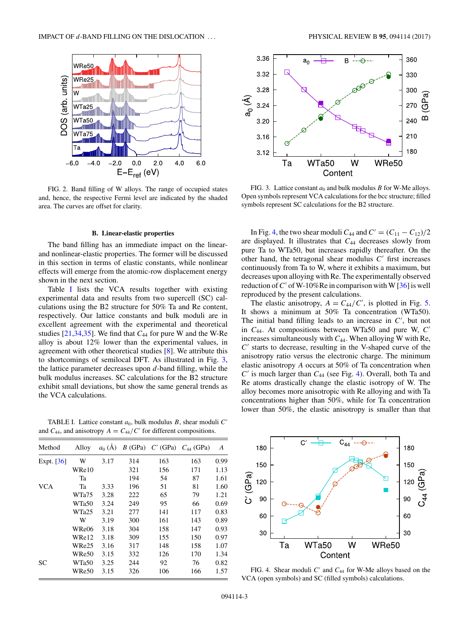<span id="page-2-0"></span>

FIG. 2. Band filling of W alloys. The range of occupied states and, hence, the respective Fermi level are indicated by the shaded area. The curves are offset for clarity.

## **B. Linear-elastic properties**

The band filling has an immediate impact on the linearand nonlinear-elastic properties. The former will be discussed in this section in terms of elastic constants, while nonlinear effects will emerge from the atomic-row displacement energy shown in the next section.

Table I lists the VCA results together with existing experimental data and results from two supercell (SC) calculations using the B2 structure for 50% Ta and Re content, respectively. Our lattice constants and bulk moduli are in excellent agreement with the experimental and theoretical studies [\[21,34,35\]](#page-7-0). We find that *C*<sup>44</sup> for pure W and the W-Re alloy is about 12% lower than the experimental values, in agreement with other theoretical studies [\[8\]](#page-7-0). We attribute this to shortcomings of semilocal DFT. As illustrated in Fig. 3, the lattice parameter decreases upon *d*-band filling, while the bulk modulus increases. SC calculations for the B2 structure exhibit small deviations, but show the same general trends as the VCA calculations.

TABLE I. Lattice constant  $a_0$ , bulk modulus  $B$ , shear moduli  $C'$ and  $C_{44}$ , and anisotropy  $A = C_{44}/C'$  for different compositions.

| Method       | Alloy | $a_0(A)$ |     | $B(GPa)$ $C'(GPa)$ | $C_{44}$ (GPa) | А    |
|--------------|-------|----------|-----|--------------------|----------------|------|
| Expt. $[36]$ | W     | 3.17     | 314 | 163                | 163            | 0.99 |
|              | WRe10 |          | 321 | 156                | 171            | 1.13 |
|              | Ta    |          | 194 | 54                 | 87             | 1.61 |
| <b>VCA</b>   | Ta    | 3.33     | 196 | 51                 | 81             | 1.60 |
|              | WTa75 | 3.28     | 222 | 65                 | 79             | 1.21 |
|              | WTa50 | 3.24     | 249 | 95                 | 66             | 0.69 |
|              | WTa25 | 3.21     | 277 | 141                | 117            | 0.83 |
|              | W     | 3.19     | 300 | 161                | 143            | 0.89 |
|              | WRe06 | 3.18     | 304 | 158                | 147            | 0.93 |
|              | WRe12 | 3.18     | 309 | 155                | 150            | 0.97 |
|              | WRe25 | 3.16     | 317 | 148                | 158            | 1.07 |
|              | WRe50 | 3.15     | 332 | 126                | 170            | 1.34 |
| <b>SC</b>    | WTa50 | 3.25     | 244 | 92                 | 76             | 0.82 |
|              | WRe50 | 3.15     | 326 | 106                | 166            | 1.57 |



FIG. 3. Lattice constant  $a_0$  and bulk modulus *B* for W-Me alloys. Open symbols represent VCA calculations for the bcc structure; filled symbols represent SC calculations for the B2 structure.

In Fig. 4, the two shear moduli  $C_{44}$  and  $C' = (C_{11} - C_{12})/2$ are displayed. It illustrates that *C*<sup>44</sup> decreases slowly from pure Ta to WTa50, but increases rapidly thereafter. On the other hand, the tetragonal shear modulus  $C'$  first increases continuously from Ta to W, where it exhibits a maximum, but decreases upon alloying with Re. The experimentally observed reduction of C' of W-10%Re in comparison with W  $[36]$  is well reproduced by the present calculations.

The elastic anisotropy,  $A = C_{44}/C'$ , is plotted in Fig. [5.](#page-3-0) It shows a minimum at 50% Ta concentration (WTa50). The initial band filling leads to an increase in *C* , but not in *C*44. At compositions between WTa50 and pure W, *C* increases simultaneously with *C*44. When alloying W with Re, *C* starts to decrease, resulting in the V-shaped curve of the anisotropy ratio versus the electronic charge. The minimum elastic anisotropy *A* occurs at 50% of Ta concentration when  $C'$  is much larger than  $C_{44}$  (see Fig. 4). Overall, both Ta and Re atoms drastically change the elastic isotropy of W. The alloy becomes more anisotropic with Re alloying and with Ta concentrations higher than 50%, while for Ta concentration lower than 50%, the elastic anisotropy is smaller than that



FIG. 4. Shear moduli *C'* and *C*<sub>44</sub> for W-Me alloys based on the VCA (open symbols) and SC (filled symbols) calculations.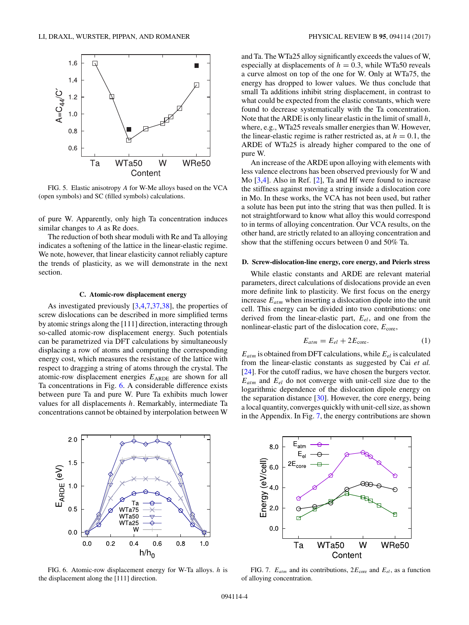<span id="page-3-0"></span>

FIG. 5. Elastic anisotropy *A* for W-Me alloys based on the VCA (open symbols) and SC (filled symbols) calculations.

of pure W. Apparently, only high Ta concentration induces similar changes to *A* as Re does.

The reduction of both shear moduli with Re and Ta alloying indicates a softening of the lattice in the linear-elastic regime. We note, however, that linear elasticity cannot reliably capture the trends of plasticity, as we will demonstrate in the next section.

# **C. Atomic-row displacement energy**

As investigated previously [\[3,4,7,37,38\]](#page-7-0), the properties of screw dislocations can be described in more simplified terms by atomic strings along the [111] direction, interacting through so-called atomic-row displacement energy. Such potentials can be parametrized via DFT calculations by simultaneously displacing a row of atoms and computing the corresponding energy cost, which measures the resistance of the lattice with respect to dragging a string of atoms through the crystal. The atomic-row displacement energies  $E_{ARDE}$  are shown for all Ta concentrations in Fig. 6. A considerable difference exists between pure Ta and pure W. Pure Ta exhibits much lower values for all displacements *h*. Remarkably, intermediate Ta concentrations cannot be obtained by interpolation between W



FIG. 6. Atomic-row displacement energy for W-Ta alloys. *h* is the displacement along the [111] direction.

and Ta. The WTa25 alloy significantly exceeds the values of W, especially at displacements of  $h = 0.3$ , while WTa50 reveals a curve almost on top of the one for W. Only at WTa75, the energy has dropped to lower values. We thus conclude that small Ta additions inhibit string displacement, in contrast to what could be expected from the elastic constants, which were found to decrease systematically with the Ta concentration. Note that the ARDE is only linear elastic in the limit of small *h*, where, e.g., WTa25 reveals smaller energies than W. However, the linear-elastic regime is rather restricted as, at  $h = 0.1$ , the ARDE of WTa25 is already higher compared to the one of pure W.

An increase of the ARDE upon alloying with elements with less valence electrons has been observed previously for W and Mo [\[3,4\]](#page-7-0). Also in Ref. [\[2\]](#page-7-0), Ta and Hf were found to increase the stiffness against moving a string inside a dislocation core in Mo. In these works, the VCA has not been used, but rather a solute has been put into the string that was then pulled. It is not straightforward to know what alloy this would correspond to in terms of alloying concentration. Our VCA results, on the other hand, are strictly related to an alloying concentration and show that the stiffening occurs between 0 and 50% Ta.

### **D. Screw-dislocation-line energy, core energy, and Peierls stress**

While elastic constants and ARDE are relevant material parameters, direct calculations of dislocations provide an even more definite link to plasticity. We first focus on the energy increase *Eatm* when inserting a dislocation dipole into the unit cell. This energy can be divided into two contributions: one derived from the linear-elastic part, *Eel*, and one from the nonlinear-elastic part of the dislocation core,  $E_{\text{core}}$ ,

$$
E_{atm} = E_{el} + 2E_{\text{core}}.\tag{1}
$$

 $E_{atm}$  is obtained from DFT calculations, while  $E_{el}$  is calculated from the linear-elastic constants as suggested by Cai *et al.* [\[24\]](#page-7-0). For the cutoff radius, we have chosen the burgers vector. *Eatm* and *Eel* do not converge with unit-cell size due to the logarithmic dependence of the dislocation dipole energy on the separation distance [\[30\]](#page-7-0). However, the core energy, being a local quantity, converges quickly with unit-cell size, as shown in the Appendix. In Fig. 7, the energy contributions are shown



FIG. 7.  $E_{atm}$  and its contributions,  $2E_{\text{core}}$  and  $E_{el}$ , as a function of alloying concentration.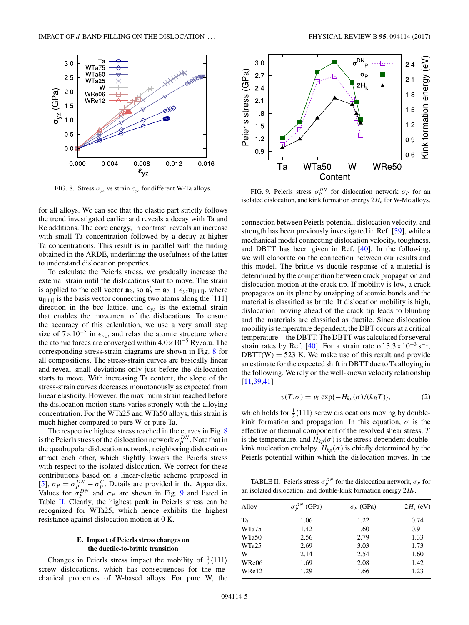<span id="page-4-0"></span>

FIG. 8. Stress  $\sigma_{yz}$  vs strain  $\epsilon_{yz}$  for different W-Ta alloys.

for all alloys. We can see that the elastic part strictly follows the trend investigated earlier and reveals a decay with Ta and Re additions. The core energy, in contrast, reveals an increase with small Ta concentration followed by a decay at higher Ta concentrations. This result is in parallel with the finding obtained in the ARDE, underlining the usefulness of the latter to understand dislocation properties.

To calculate the Peierls stress, we gradually increase the external strain until the dislocations start to move. The strain is applied to the cell vector  $\mathbf{a}_2$ , so  $\mathbf{a}'_2 = \mathbf{a}_2 + \epsilon_{yz}\mathbf{u}_{[111]}$ , where  **is the basis vector connecting two atoms along the [111]** direction in the bcc lattice, and  $\epsilon_{vz}$  is the external strain that enables the movement of the dislocations. To ensure the accuracy of this calculation, we use a very small step size of  $7 \times 10^{-5}$  in  $\epsilon_{yz}$ , and relax the atomic structure where the atomic forces are converged within 4*.*0×10<sup>−</sup><sup>5</sup> Ry*/*a.u. The corresponding stress-strain diagrams are shown in Fig. 8 for all compositions. The stress-strain curves are basically linear and reveal small deviations only just before the dislocation starts to move. With increasing Ta content, the slope of the stress-strain curves decreases monotonously as expected from linear elasticity. However, the maximum strain reached before the dislocation motion starts varies strongly with the alloying concentration. For the WTa25 and WTa50 alloys, this strain is much higher compared to pure W or pure Ta.

The respective highest stress reached in the curves in Fig. 8 is the Peierls stress of the dislocation network  $\sigma_P^{DN}$ . Note that in the quadrupolar dislocation network, neighboring dislocations attract each other, which slightly lowers the Peierls stress with respect to the isolated dislocation. We correct for these contributions based on a linear-elastic scheme proposed in [\[5\]](#page-7-0),  $\sigma_P = \sigma_P^{DN} - \sigma_P^C$ . Details are provided in the Appendix. Values for  $\sigma_P^{DN}$  and  $\sigma_P$  are shown in Fig. 9 and listed in Table II. Clearly, the highest peak in Peierls stress can be recognized for WTa25, which hence exhibits the highest resistance against dislocation motion at 0 K.

# **E. Impact of Peierls stress changes on the ductile-to-brittle transition**

Changes in Peierls stress impact the mobility of  $\frac{1}{2}$  $\langle 111 \rangle$ screw dislocations, which has consequences for the mechanical properties of W-based alloys. For pure W, the



FIG. 9. Peierls stress  $\sigma_P^{DN}$  for dislocation network  $\sigma_P$  for an isolated dislocation, and kink formation energy  $2H_k$  for W-Me alloys.

connection between Peierls potential, dislocation velocity, and strength has been previously investigated in Ref. [\[39\]](#page-7-0), while a mechanical model connecting dislocation velocity, toughness, and DBTT has been given in Ref. [\[40\]](#page-7-0). In the following, we will elaborate on the connection between our results and this model. The brittle vs ductile response of a material is determined by the competition between crack propagation and dislocation motion at the crack tip. If mobility is low, a crack propagates on its plane by unzipping of atomic bonds and the material is classified as brittle. If dislocation mobility is high, dislocation moving ahead of the crack tip leads to blunting and the materials are classified as ductile. Since dislocation mobility is temperature dependent, the DBT occurs at a critical temperature—the DBTT. The DBTT was calculated for several strain rates by Ref. [\[40\]](#page-7-0). For a strain rate of  $3.3 \times 10^{-3}$  s<sup>-1</sup>,  $DBTT(W) = 523$  K. We make use of this result and provide an estimate for the expected shift in DBTT due to Ta alloying in the following. We rely on the well-known velocity relationship [\[11,39,41\]](#page-7-0)

$$
v(T,\sigma) = v_0 \exp\{-H_{kp}(\sigma)/(k_B T)\},\tag{2}
$$

which holds for  $\frac{1}{2}$ (111) screw dislocations moving by doublekink formation and propagation. In this equation,  $\sigma$  is the effective or thermal component of the resolved shear stress, *T* is the temperature, and  $H_{kp}(\sigma)$  is the stress-dependent doublekink nucleation enthalpy.  $H_{kp}(\sigma)$  is chiefly determined by the Peierls potential within which the dislocation moves. In the

TABLE II. Peierls stress  $\sigma_P^{DN}$  for the dislocation network,  $\sigma_P$  for an isolated dislocation, and double-kink formation energy  $2H_k$ .

| Alloy | $\sigma_{\rm p}^{DN}$<br>(GPa) | $\sigma_P$ (GPa) | $2H_k$ (eV) |
|-------|--------------------------------|------------------|-------------|
| Ta    | 1.06                           | 1.22             | 0.74        |
| WTa75 | 1.42                           | 1.60             | 0.91        |
| WTa50 | 2.56                           | 2.79             | 1.33        |
| WTa25 | 2.69                           | 3.03             | 1.73        |
| W     | 2.14                           | 2.54             | 1.60        |
| WRe06 | 1.69                           | 2.08             | 1.42        |
| WRe12 | 1.29                           | 1.66             | 1.23        |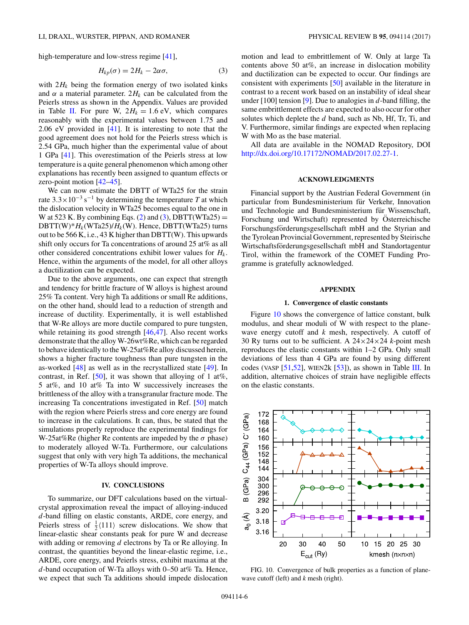high-temperature and low-stress regime [\[41\]](#page-7-0),

$$
H_{kp}(\sigma) = 2H_k - 2\alpha\sigma,\tag{3}
$$

with  $2H_k$  being the formation energy of two isolated kinks and  $\alpha$  a material parameter.  $2H_k$  can be calculated from the Peierls stress as shown in the Appendix. Values are provided in Table [II.](#page-4-0) For pure W,  $2H_k = 1.6$  eV, which compares reasonably with the experimental values between 1.75 and 2.06 eV provided in [\[41\]](#page-7-0). It is interesting to note that the good agreement does not hold for the Peierls stress which is 2.54 GPa, much higher than the experimental value of about 1 GPa [\[41\]](#page-7-0). This overestimation of the Peierls stress at low temperature is a quite general phenomenon which among other explanations has recently been assigned to quantum effects or zero-point motion [\[42–45\]](#page-7-0).

We can now estimate the DBTT of WTa25 for the strain rate  $3.3 \times 10^{-3}$  s<sup>-1</sup> by determining the temperature *T* at which the dislocation velocity in WTa25 becomes equal to the one in W at 523 K. By combining Eqs. [\(2\)](#page-4-0) and (3), DBTT(WTa25) = DBTT(W)\* $H_k$ (WTa25)/ $H_k$ (W). Hence, DBTT(WTa25) turns out to be 566 K, i.e., 43 K higher than DBTT(W). This upwards shift only occurs for Ta concentrations of around 25 at% as all other considered concentrations exhibit lower values for *Hk*. Hence, within the arguments of the model, for all other alloys a ductilization can be expected.

Due to the above arguments, one can expect that strength and tendency for brittle fracture of W alloys is highest around 25% Ta content. Very high Ta additions or small Re additions, on the other hand, should lead to a reduction of strength and increase of ductility. Experimentally, it is well established that W-Re alloys are more ductile compared to pure tungsten, while retaining its good strength [\[46,47\]](#page-7-0). Also recent works demonstrate that the alloy W-26wt%Re, which can be regarded to behave identically to the W-25at%Re alloy discussed herein, shows a higher fracture toughness than pure tungsten in the as-worked [\[48\]](#page-7-0) as well as in the recrystallized state [\[49\]](#page-7-0). In contrast, in Ref.  $[50]$ , it was shown that alloying of 1 at%, 5 at%, and 10 at% Ta into W successively increases the brittleness of the alloy with a transgranular fracture mode. The increasing Ta concentrations investigated in Ref. [\[50\]](#page-7-0) match with the region where Peierls stress and core energy are found to increase in the calculations. It can, thus, be stated that the simulations properly reproduce the experimental findings for W-25at%Re (higher Re contents are impeded by the *σ* phase) to moderately alloyed W-Ta. Furthermore, our calculations suggest that only with very high Ta additions, the mechanical properties of W-Ta alloys should improve.

### **IV. CONCLUSIONS**

To summarize, our DFT calculations based on the virtualcrystal approximation reveal the impact of alloying-induced *d*-band filling on elastic constants, ARDE, core energy, and Peierls stress of  $\frac{1}{2}$ (111) screw dislocations. We show that linear-elastic shear constants peak for pure W and decrease with adding or removing *d* electrons by Ta or Re alloying. In contrast, the quantities beyond the linear-elastic regime, i.e., ARDE, core energy, and Peierls stress, exhibit maxima at the *d*-band occupation of W-Ta alloys with 0–50 at% Ta. Hence, we expect that such Ta additions should impede dislocation motion and lead to embrittlement of W. Only at large Ta contents above 50 at%, an increase in dislocation mobility and ductilization can be expected to occur. Our findings are consistent with experiments [\[50\]](#page-7-0) available in the literature in contrast to a recent work based on an instability of ideal shear under [100] tension [\[9\]](#page-7-0). Due to analogies in *d*-band filling, the same embrittlement effects are expected to also occur for other solutes which deplete the *d* band, such as Nb, Hf, Tr, Ti, and V. Furthermore, similar findings are expected when replacing W with Mo as the base material.

All data are available in the NOMAD Repository, DOI [http://dx.doi.org/10.17172/NOMAD/2017.02.27-1.](http://dx.doi.org/10.17172/NOMAD/2017.02.27-1)

# **ACKNOWLEDGMENTS**

Financial support by the Austrian Federal Government (in particular from Bundesministerium für Verkehr, Innovation und Technologie and Bundesministerium für Wissenschaft, Forschung und Wirtschaft) represented by Osterreichische Forschungsförderungsgesellschaft mbH and the Styrian and the Tyrolean Provincial Government, represented by Steirische Wirtschaftsförderungsgesellschaft mbH and Standortagentur Tirol, within the framework of the COMET Funding Programme is gratefully acknowledged.

### **APPENDIX**

#### **1. Convergence of elastic constants**

Figure 10 shows the convergence of lattice constant, bulk modulus, and shear moduli of W with respect to the planewave energy cutoff and *k* mesh, respectively. A cutoff of 30 Ry turns out to be sufficient. A 24×24×24 *k*-point mesh reproduces the elastic constants within 1–2 GPa. Only small deviations of less than 4 GPa are found by using different codes (VASP  $[51,52]$ , WIEN2k  $[53]$ ), as shown in Table [III.](#page-6-0) In addition, alternative choices of strain have negligible effects on the elastic constants.



FIG. 10. Convergence of bulk properties as a function of planewave cutoff (left) and *k* mesh (right).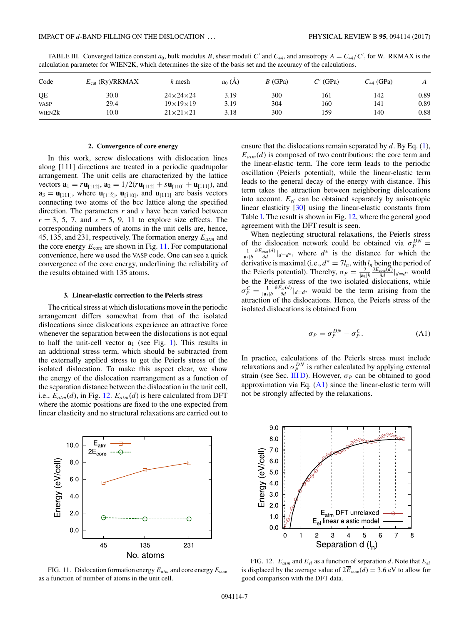| Code               | $E_{\text{cut}}$ (Ry)/RKMAX | k mesh                   | $a_0(A)$ | $B$ (GPa) | $C'$ (GPa) | $C_{44}$ (GPa) | A    |
|--------------------|-----------------------------|--------------------------|----------|-----------|------------|----------------|------|
| QE                 | 30.0                        | $24 \times 24 \times 24$ | 3.19     | 300       | 161        | 142            | 0.89 |
| <b>VASP</b>        | 29.4                        | $19\times19\times19$     | 3.19     | 304       | 160        | 141            | 0.89 |
| WIEN2 <sub>k</sub> | 10.0                        | $21 \times 21 \times 21$ | 3.18     | 300       | 159        | 140            | 0.88 |

<span id="page-6-0"></span>TABLE III. Converged lattice constant  $a_0$ , bulk modulus *B*, shear moduli *C'* and  $C_{44}$ , and anisotropy  $A = C_{44}/C'$ , for W. RKMAX is the calculation parameter for WIEN2K, which determines the size of the basis set and the accuracy of the calculations.

#### **2. Convergence of core energy**

In this work, screw dislocations with dislocation lines along [111] directions are treated in a periodic quadrupolar arrangement. The unit cells are characterized by the lattice vectors  $\mathbf{a}_1 = r\mathbf{u}_{[11\bar{2}]}, \mathbf{a}_2 = 1/2(r\mathbf{u}_{[11\bar{2}]} + s\mathbf{u}_{[\bar{1}10]} + \mathbf{u}_{[111]}),$  and  $\mathbf{a}_3 = \mathbf{u}_{111},$  where  $\mathbf{u}_{112}, \mathbf{u}_{110},$  and  $\mathbf{u}_{1111}$  are basis vectors connecting two atoms of the bcc lattice along the specified direction. The parameters *r* and *s* have been varied between  $r = 3, 5, 7,$  and  $s = 5, 9, 11$  to explore size effects. The corresponding numbers of atoms in the unit cells are, hence, 45, 135, and 231, respectively. The formation energy *Eatm* and the core energy  $E_{\text{core}}$  are shown in Fig. 11. For computational convenience, here we used the VASP code. One can see a quick convergence of the core energy, underlining the reliability of the results obtained with 135 atoms.

## **3. Linear-elastic correction to the Peierls stress**

The critical stress at which dislocations move in the periodic arrangement differs somewhat from that of the isolated dislocations since dislocations experience an attractive force whenever the separation between the dislocations is not equal to half the unit-cell vector  $\mathbf{a}_1$  (see Fig. [1\)](#page-1-0). This results in an additional stress term, which should be subtracted from the externally applied stress to get the Peierls stress of the isolated dislocation. To make this aspect clear, we show the energy of the dislocation rearrangement as a function of the separation distance between the dislocation in the unit cell, i.e.,  $E_{atm}(d)$ , in Fig. 12.  $E_{atm}(d)$  is here calculated from DFT where the atomic positions are fixed to the one expected from linear elasticity and no structural relaxations are carried out to



FIG. 11. Dislocation formation energy  $E_{atm}$  and core energy  $E_{\text{core}}$ as a function of number of atoms in the unit cell.

ensure that the dislocations remain separated by *d*. By Eq. [\(1\)](#page-3-0),  $E_{atm}(d)$  is composed of two contributions: the core term and the linear-elastic term. The core term leads to the periodic oscillation (Peierls potential), while the linear-elastic term leads to the general decay of the energy with distance. This term takes the attraction between neighboring dislocations into account. *Eel* can be obtained separately by anisotropic linear elasticity [\[30\]](#page-7-0) using the linear-elastic constants from Table [I.](#page-2-0) The result is shown in Fig. 12, where the general good agreement with the DFT result is seen.

When neglecting structural relaxations, the Peierls stress of the dislocation network could be obtained via  $\sigma_P^{DN} =$ <br>
<sup>1</sup>/<sub>*PEatm*(*d*). w where  $d^*$  is the distance for which the</sub>  $\frac{1}{|\mathbf{a}_3|b} \frac{\partial E_{atm}(d)}{\partial d}|_{d=d^*}$ , where  $d^*$  is the distance for which the derivative is maximal (i.e.,  $d^* = 7l_n$ , with  $l_n$  being the period of the Peierls potential). Thereby,  $\sigma_P = \frac{2}{|\mathbf{a}_3|b} \frac{\partial E_{\text{core}}(\vec{a})}{\partial d}|_{d=d^*}$  would be the Peierls stress of the two isolated dislocations, while  $\sigma_P^C = \frac{1}{|\mathbf{a}_3|b} \frac{\partial E_{el}(d)}{\partial d} |_{d=d^*}$  would be the term arising from the attraction of the dislocations. Hence, the Peierls stress of the isolated dislocations is obtained from

$$
\sigma_P = \sigma_P^{DN} - \sigma_P^C. \tag{A1}
$$

In practice, calculations of the Peierls stress must include relaxations and  $\sigma_P^{DN}$  is rather calculated by applying external strain (see Sec. [III D\)](#page-3-0). However,  $\sigma_P$  can be obtained to good approximation via Eq.  $(A1)$  since the linear-elastic term will not be strongly affected by the relaxations.



FIG. 12. *Eatm* and *Eel* as a function of separation *d*. Note that *Eel* is displaced by the average value of  $2E_{\text{core}}(d) = 3.6 \text{ eV}$  to allow for good comparison with the DFT data.